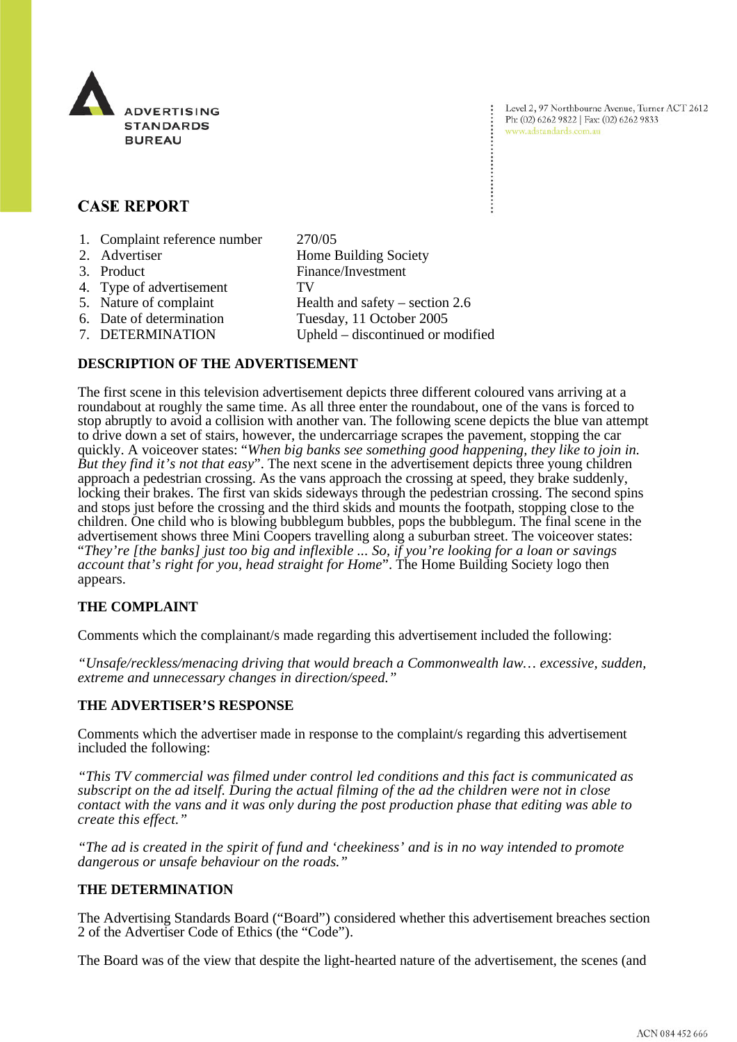

# **CASE REPORT**

- 1. Complaint reference number 270/05
- 2. Advertiser Home Building Society 3. Product Finance/Investment 4. Type of advertisement TV 5. Nature of complaint Health and safety – section 2.6 6. Date of determination Tuesday, 11 October 2005 7. DETERMINATION Upheld – discontinued or modified

## **DESCRIPTION OF THE ADVERTISEMENT**

The first scene in this television advertisement depicts three different coloured vans arriving at a roundabout at roughly the same time. As all three enter the roundabout, one of the vans is forced to stop abruptly to avoid a collision with another van. The following scene depicts the blue van attempt to drive down a set of stairs, however, the undercarriage scrapes the pavement, stopping the car quickly. A voiceover states: "*When big banks see something good happening, they like to join in. But they find it's not that easy*". The next scene in the advertisement depicts three young children approach a pedestrian crossing. As the vans approach the crossing at speed, they brake suddenly, locking their brakes. The first van skids sideways through the pedestrian crossing. The second spins and stops just before the crossing and the third skids and mounts the footpath, stopping close to the children. One child who is blowing bubblegum bubbles, pops the bubblegum. The final scene in the advertisement shows three Mini Coopers travelling along a suburban street. The voiceover states: "*They're [the banks] just too big and inflexible ... So, if you're looking for a loan or savings account that's right for you, head straight for Home*". The Home Building Society logo then appears.

# **THE COMPLAINT**

Comments which the complainant/s made regarding this advertisement included the following:

*"Unsafe/reckless/menacing driving that would breach a Commonwealth law… excessive, sudden, extreme and unnecessary changes in direction/speed."*

#### **THE ADVERTISER'S RESPONSE**

Comments which the advertiser made in response to the complaint/s regarding this advertisement included the following:

*"This TV commercial was filmed under control led conditions and this fact is communicated as subscript on the ad itself. During the actual filming of the ad the children were not in close contact with the vans and it was only during the post production phase that editing was able to create this effect."*

*"The ad is created in the spirit of fund and 'cheekiness' and is in no way intended to promote dangerous or unsafe behaviour on the roads."*

#### **THE DETERMINATION**

The Advertising Standards Board ("Board") considered whether this advertisement breaches section 2 of the Advertiser Code of Ethics (the "Code").

The Board was of the view that despite the light-hearted nature of the advertisement, the scenes (and